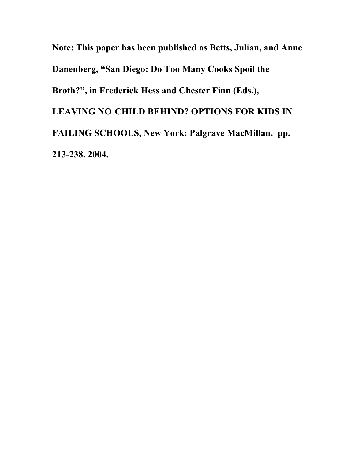**Note: This paper has been published as Betts, Julian, and Anne Danenberg, "San Diego: Do Too Many Cooks Spoil the Broth?", in Frederick Hess and Chester Finn (Eds.), LEAVING NO CHILD BEHIND? OPTIONS FOR KIDS IN FAILING SCHOOLS, New York: Palgrave MacMillan. pp. 213-238. 2004.**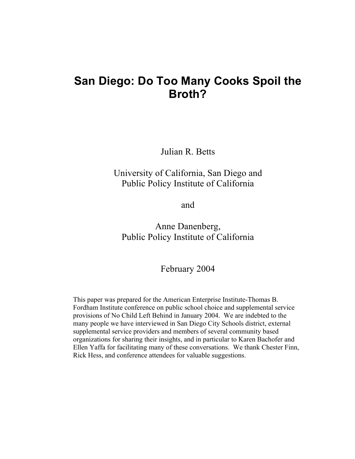# **San Diego: Do Too Many Cooks Spoil the Broth?**

Julian R. Betts

# University of California, San Diego and Public Policy Institute of California

and

Anne Danenberg, Public Policy Institute of California

February 2004

This paper was prepared for the American Enterprise Institute-Thomas B. Fordham Institute conference on public school choice and supplemental service provisions of No Child Left Behind in January 2004. We are indebted to the many people we have interviewed in San Diego City Schools district, external supplemental service providers and members of several community based organizations for sharing their insights, and in particular to Karen Bachofer and Ellen Yaffa for facilitating many of these conversations. We thank Chester Finn, Rick Hess, and conference attendees for valuable suggestions.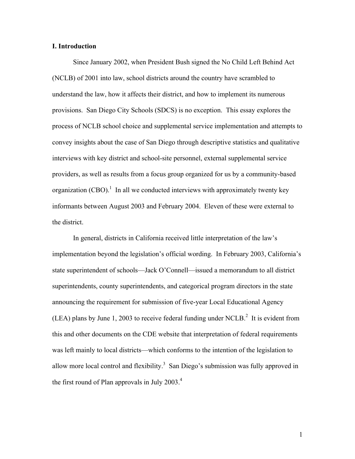# **I. Introduction**

Since January 2002, when President Bush signed the No Child Left Behind Act (NCLB) of 2001 into law, school districts around the country have scrambled to understand the law, how it affects their district, and how to implement its numerous provisions. San Diego City Schools (SDCS) is no exception. This essay explores the process of NCLB school choice and supplemental service implementation and attempts to convey insights about the case of San Diego through descriptive statistics and qualitative interviews with key district and school-site personnel, external supplemental service providers, as well as results from a focus group organized for us by a community-based organization  $(CBO)$ <sup>1</sup>. In all we conducted interviews with approximately twenty key informants between August 2003 and February 2004. Eleven of these were external to the district.

In general, districts in California received little interpretation of the law's implementation beyond the legislation's official wording. In February 2003, California's state superintendent of schools—Jack O'Connell—issued a memorandum to all district superintendents, county superintendents, and categorical program directors in the state announcing the requirement for submission of five-year Local Educational Agency (LEA) plans by June 1, 2003 to receive federal funding under NCLB.<sup>2</sup> It is evident from this and other documents on the CDE website that interpretation of federal requirements was left mainly to local districts—which conforms to the intention of the legislation to allow more local control and flexibility.<sup>3</sup> San Diego's submission was fully approved in the first round of Plan approvals in July 2003. $4$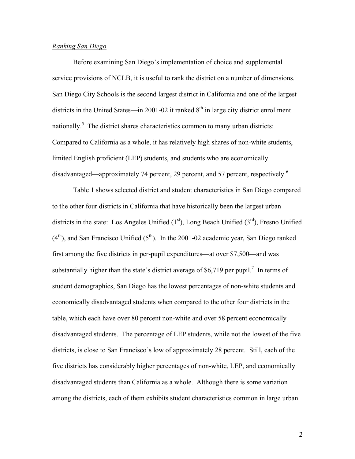# *Ranking San Diego*

Before examining San Diego's implementation of choice and supplemental service provisions of NCLB, it is useful to rank the district on a number of dimensions. San Diego City Schools is the second largest district in California and one of the largest districts in the United States—in 2001-02 it ranked  $8<sup>th</sup>$  in large city district enrollment nationally.<sup>5</sup> The district shares characteristics common to many urban districts: Compared to California as a whole, it has relatively high shares of non-white students, limited English proficient (LEP) students, and students who are economically disadvantaged—approximately 74 percent, 29 percent, and 57 percent, respectively.<sup>6</sup>

Table 1 shows selected district and student characteristics in San Diego compared to the other four districts in California that have historically been the largest urban districts in the state: Los Angeles Unified  $(1<sup>st</sup>)$ , Long Beach Unified  $(3<sup>rd</sup>)$ , Fresno Unified  $(4<sup>th</sup>)$ , and San Francisco Unified  $(5<sup>th</sup>)$ . In the 2001-02 academic year, San Diego ranked first among the five districts in per-pupil expenditures—at over \$7,500—and was substantially higher than the state's district average of \$6,719 per pupil.<sup>7</sup> In terms of student demographics, San Diego has the lowest percentages of non-white students and economically disadvantaged students when compared to the other four districts in the table, which each have over 80 percent non-white and over 58 percent economically disadvantaged students. The percentage of LEP students, while not the lowest of the five districts, is close to San Francisco's low of approximately 28 percent. Still, each of the five districts has considerably higher percentages of non-white, LEP, and economically disadvantaged students than California as a whole. Although there is some variation among the districts, each of them exhibits student characteristics common in large urban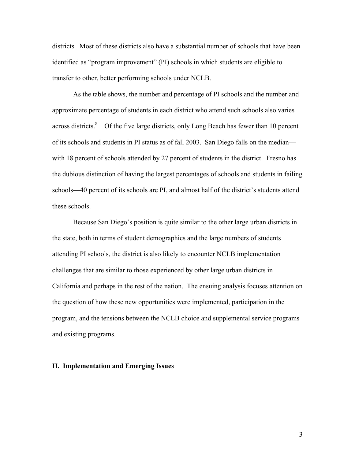districts. Most of these districts also have a substantial number of schools that have been identified as "program improvement" (PI) schools in which students are eligible to transfer to other, better performing schools under NCLB.

As the table shows, the number and percentage of PI schools and the number and approximate percentage of students in each district who attend such schools also varies across districts. $8$  Of the five large districts, only Long Beach has fewer than 10 percent of its schools and students in PI status as of fall 2003. San Diego falls on the median with 18 percent of schools attended by 27 percent of students in the district. Fresno has the dubious distinction of having the largest percentages of schools and students in failing schools—40 percent of its schools are PI, and almost half of the district's students attend these schools.

Because San Diego's position is quite similar to the other large urban districts in the state, both in terms of student demographics and the large numbers of students attending PI schools, the district is also likely to encounter NCLB implementation challenges that are similar to those experienced by other large urban districts in California and perhaps in the rest of the nation. The ensuing analysis focuses attention on the question of how these new opportunities were implemented, participation in the program, and the tensions between the NCLB choice and supplemental service programs and existing programs.

#### **II. Implementation and Emerging Issues**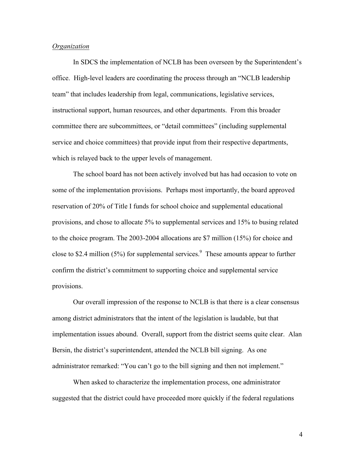#### *Organization*

In SDCS the implementation of NCLB has been overseen by the Superintendent's office. High-level leaders are coordinating the process through an "NCLB leadership team" that includes leadership from legal, communications, legislative services, instructional support, human resources, and other departments. From this broader committee there are subcommittees, or "detail committees" (including supplemental service and choice committees) that provide input from their respective departments, which is relayed back to the upper levels of management.

The school board has not been actively involved but has had occasion to vote on some of the implementation provisions. Perhaps most importantly, the board approved reservation of 20% of Title I funds for school choice and supplemental educational provisions, and chose to allocate 5% to supplemental services and 15% to busing related to the choice program. The 2003-2004 allocations are \$7 million (15%) for choice and close to \$2.4 million  $(5%)$  for supplemental services.<sup>9</sup> These amounts appear to further confirm the district's commitment to supporting choice and supplemental service provisions.

Our overall impression of the response to NCLB is that there is a clear consensus among district administrators that the intent of the legislation is laudable, but that implementation issues abound. Overall, support from the district seems quite clear. Alan Bersin, the district's superintendent, attended the NCLB bill signing. As one administrator remarked: "You can't go to the bill signing and then not implement."

When asked to characterize the implementation process, one administrator suggested that the district could have proceeded more quickly if the federal regulations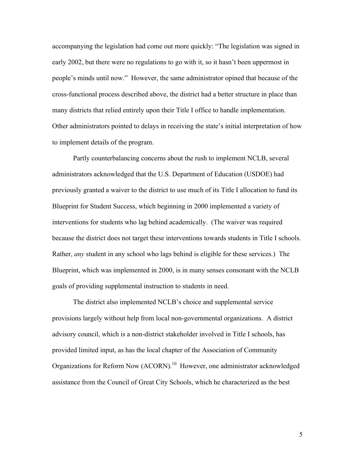accompanying the legislation had come out more quickly: "The legislation was signed in early 2002, but there were no regulations to go with it, so it hasn't been uppermost in people's minds until now." However, the same administrator opined that because of the cross-functional process described above, the district had a better structure in place than many districts that relied entirely upon their Title I office to handle implementation. Other administrators pointed to delays in receiving the state's initial interpretation of how to implement details of the program.

Partly counterbalancing concerns about the rush to implement NCLB, several administrators acknowledged that the U.S. Department of Education (USDOE) had previously granted a waiver to the district to use much of its Title I allocation to fund its Blueprint for Student Success, which beginning in 2000 implemented a variety of interventions for students who lag behind academically. (The waiver was required because the district does not target these interventions towards students in Title I schools. Rather, *any* student in any school who lags behind is eligible for these services.) The Blueprint, which was implemented in 2000, is in many senses consonant with the NCLB goals of providing supplemental instruction to students in need.

The district also implemented NCLB's choice and supplemental service provisions largely without help from local non-governmental organizations. A district advisory council, which is a non-district stakeholder involved in Title I schools, has provided limited input, as has the local chapter of the Association of Community Organizations for Reform Now (ACORN).<sup>10</sup> However, one administrator acknowledged assistance from the Council of Great City Schools, which he characterized as the best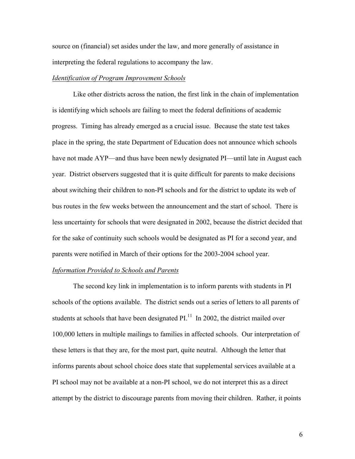source on (financial) set asides under the law, and more generally of assistance in interpreting the federal regulations to accompany the law.

### *Identification of Program Improvement Schools*

Like other districts across the nation, the first link in the chain of implementation is identifying which schools are failing to meet the federal definitions of academic progress. Timing has already emerged as a crucial issue. Because the state test takes place in the spring, the state Department of Education does not announce which schools have not made AYP—and thus have been newly designated PI—until late in August each year. District observers suggested that it is quite difficult for parents to make decisions about switching their children to non-PI schools and for the district to update its web of bus routes in the few weeks between the announcement and the start of school. There is less uncertainty for schools that were designated in 2002, because the district decided that for the sake of continuity such schools would be designated as PI for a second year, and parents were notified in March of their options for the 2003-2004 school year.

# *Information Provided to Schools and Parents*

The second key link in implementation is to inform parents with students in PI schools of the options available. The district sends out a series of letters to all parents of students at schools that have been designated  $PI<sup>11</sup>$ . In 2002, the district mailed over 100,000 letters in multiple mailings to families in affected schools. Our interpretation of these letters is that they are, for the most part, quite neutral. Although the letter that informs parents about school choice does state that supplemental services available at a PI school may not be available at a non-PI school, we do not interpret this as a direct attempt by the district to discourage parents from moving their children. Rather, it points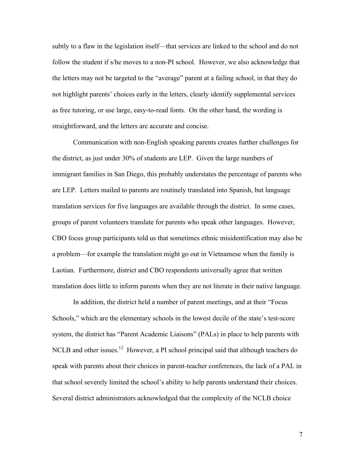subtly to a flaw in the legislation itself—that services are linked to the school and do not follow the student if s/he moves to a non-PI school. However, we also acknowledge that the letters may not be targeted to the "average" parent at a failing school, in that they do not highlight parents' choices early in the letters, clearly identify supplemental services as free tutoring, or use large, easy-to-read fonts. On the other hand, the wording is straightforward, and the letters are accurate and concise.

Communication with non-English speaking parents creates further challenges for the district, as just under 30% of students are LEP. Given the large numbers of immigrant families in San Diego, this probably understates the percentage of parents who are LEP. Letters mailed to parents are routinely translated into Spanish, but language translation services for five languages are available through the district. In some cases, groups of parent volunteers translate for parents who speak other languages. However, CBO focus group participants told us that sometimes ethnic misidentification may also be a problem—for example the translation might go out in Vietnamese when the family is Laotian. Furthermore, district and CBO respondents universally agree that written translation does little to inform parents when they are not literate in their native language.

In addition, the district held a number of parent meetings, and at their "Focus Schools," which are the elementary schools in the lowest decile of the state's test-score system, the district has "Parent Academic Liaisons" (PALs) in place to help parents with NCLB and other issues.<sup>12</sup> However, a PI school principal said that although teachers do speak with parents about their choices in parent-teacher conferences, the lack of a PAL in that school severely limited the school's ability to help parents understand their choices. Several district administrators acknowledged that the complexity of the NCLB choice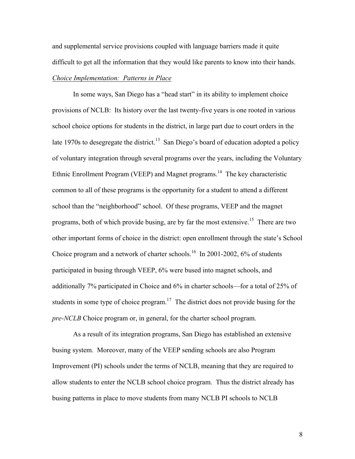and supplemental service provisions coupled with language barriers made it quite difficult to get all the information that they would like parents to know into their hands. *Choice Implementation: Patterns in Place*

In some ways, San Diego has a "head start" in its ability to implement choice provisions of NCLB: Its history over the last twenty-five years is one rooted in various school choice options for students in the district, in large part due to court orders in the late 1970s to desegregate the district.<sup>13</sup> San Diego's board of education adopted a policy of voluntary integration through several programs over the years, including the Voluntary Ethnic Enrollment Program (VEEP) and Magnet programs.<sup>14</sup> The key characteristic common to all of these programs is the opportunity for a student to attend a different school than the "neighborhood" school. Of these programs, VEEP and the magnet programs, both of which provide busing, are by far the most extensive.15 There are two other important forms of choice in the district: open enrollment through the state's School Choice program and a network of charter schools.<sup>16</sup> In 2001-2002, 6% of students participated in busing through VEEP, 6% were bused into magnet schools, and additionally 7% participated in Choice and 6% in charter schools—for a total of 25% of students in some type of choice program.<sup>17</sup> The district does not provide busing for the *pre-NCLB* Choice program or, in general, for the charter school program.

As a result of its integration programs, San Diego has established an extensive busing system. Moreover, many of the VEEP sending schools are also Program Improvement (PI) schools under the terms of NCLB, meaning that they are required to allow students to enter the NCLB school choice program. Thus the district already has busing patterns in place to move students from many NCLB PI schools to NCLB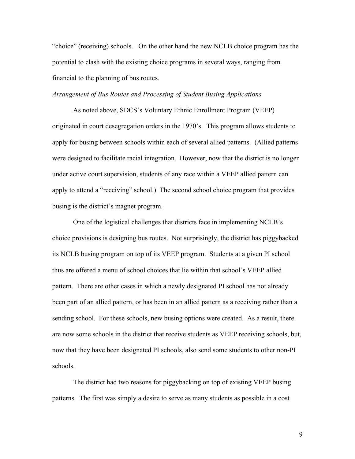"choice" (receiving) schools. On the other hand the new NCLB choice program has the potential to clash with the existing choice programs in several ways, ranging from financial to the planning of bus routes.

# *Arrangement of Bus Routes and Processing of Student Busing Applications*

As noted above, SDCS's Voluntary Ethnic Enrollment Program (VEEP) originated in court desegregation orders in the 1970's. This program allows students to apply for busing between schools within each of several allied patterns. (Allied patterns were designed to facilitate racial integration. However, now that the district is no longer under active court supervision, students of any race within a VEEP allied pattern can apply to attend a "receiving" school.) The second school choice program that provides busing is the district's magnet program.

One of the logistical challenges that districts face in implementing NCLB's choice provisions is designing bus routes. Not surprisingly, the district has piggybacked its NCLB busing program on top of its VEEP program. Students at a given PI school thus are offered a menu of school choices that lie within that school's VEEP allied pattern. There are other cases in which a newly designated PI school has not already been part of an allied pattern, or has been in an allied pattern as a receiving rather than a sending school. For these schools, new busing options were created. As a result, there are now some schools in the district that receive students as VEEP receiving schools, but, now that they have been designated PI schools, also send some students to other non-PI schools.

The district had two reasons for piggybacking on top of existing VEEP busing patterns. The first was simply a desire to serve as many students as possible in a cost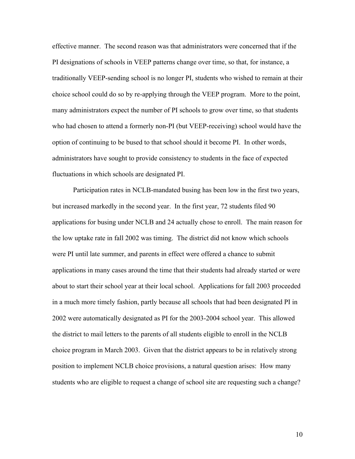effective manner. The second reason was that administrators were concerned that if the PI designations of schools in VEEP patterns change over time, so that, for instance, a traditionally VEEP-sending school is no longer PI, students who wished to remain at their choice school could do so by re-applying through the VEEP program. More to the point, many administrators expect the number of PI schools to grow over time, so that students who had chosen to attend a formerly non-PI (but VEEP-receiving) school would have the option of continuing to be bused to that school should it become PI. In other words, administrators have sought to provide consistency to students in the face of expected fluctuations in which schools are designated PI.

Participation rates in NCLB-mandated busing has been low in the first two years, but increased markedly in the second year. In the first year, 72 students filed 90 applications for busing under NCLB and 24 actually chose to enroll. The main reason for the low uptake rate in fall 2002 was timing. The district did not know which schools were PI until late summer, and parents in effect were offered a chance to submit applications in many cases around the time that their students had already started or were about to start their school year at their local school. Applications for fall 2003 proceeded in a much more timely fashion, partly because all schools that had been designated PI in 2002 were automatically designated as PI for the 2003-2004 school year. This allowed the district to mail letters to the parents of all students eligible to enroll in the NCLB choice program in March 2003. Given that the district appears to be in relatively strong position to implement NCLB choice provisions, a natural question arises: How many students who are eligible to request a change of school site are requesting such a change?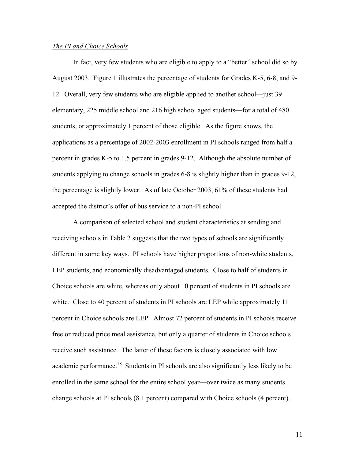#### *The PI and Choice Schools*

In fact, very few students who are eligible to apply to a "better" school did so by August 2003. Figure 1 illustrates the percentage of students for Grades K-5, 6-8, and 9- 12. Overall, very few students who are eligible applied to another school—just 39 elementary, 225 middle school and 216 high school aged students—for a total of 480 students, or approximately 1 percent of those eligible. As the figure shows, the applications as a percentage of 2002-2003 enrollment in PI schools ranged from half a percent in grades K-5 to 1.5 percent in grades 9-12. Although the absolute number of students applying to change schools in grades 6-8 is slightly higher than in grades 9-12, the percentage is slightly lower. As of late October 2003, 61% of these students had accepted the district's offer of bus service to a non-PI school.

A comparison of selected school and student characteristics at sending and receiving schools in Table 2 suggests that the two types of schools are significantly different in some key ways. PI schools have higher proportions of non-white students, LEP students, and economically disadvantaged students. Close to half of students in Choice schools are white, whereas only about 10 percent of students in PI schools are white. Close to 40 percent of students in PI schools are LEP while approximately 11 percent in Choice schools are LEP. Almost 72 percent of students in PI schools receive free or reduced price meal assistance, but only a quarter of students in Choice schools receive such assistance. The latter of these factors is closely associated with low academic performance.<sup>18</sup> Students in PI schools are also significantly less likely to be enrolled in the same school for the entire school year—over twice as many students change schools at PI schools (8.1 percent) compared with Choice schools (4 percent).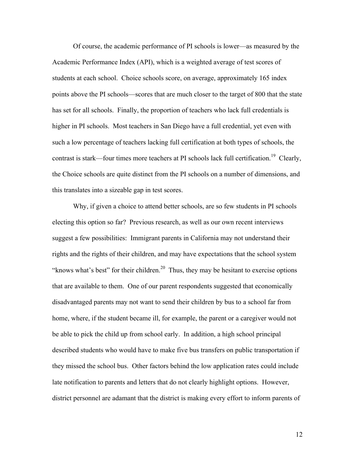Of course, the academic performance of PI schools is lower—as measured by the Academic Performance Index (API), which is a weighted average of test scores of students at each school. Choice schools score, on average, approximately 165 index points above the PI schools—scores that are much closer to the target of 800 that the state has set for all schools. Finally, the proportion of teachers who lack full credentials is higher in PI schools. Most teachers in San Diego have a full credential, yet even with such a low percentage of teachers lacking full certification at both types of schools, the contrast is stark—four times more teachers at PI schools lack full certification.<sup>19</sup> Clearly, the Choice schools are quite distinct from the PI schools on a number of dimensions, and this translates into a sizeable gap in test scores.

Why, if given a choice to attend better schools, are so few students in PI schools electing this option so far? Previous research, as well as our own recent interviews suggest a few possibilities: Immigrant parents in California may not understand their rights and the rights of their children, and may have expectations that the school system "knows what's best" for their children.<sup>20</sup> Thus, they may be hesitant to exercise options that are available to them. One of our parent respondents suggested that economically disadvantaged parents may not want to send their children by bus to a school far from home, where, if the student became ill, for example, the parent or a caregiver would not be able to pick the child up from school early. In addition, a high school principal described students who would have to make five bus transfers on public transportation if they missed the school bus. Other factors behind the low application rates could include late notification to parents and letters that do not clearly highlight options. However, district personnel are adamant that the district is making every effort to inform parents of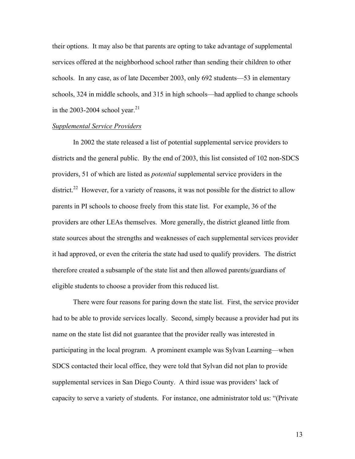their options. It may also be that parents are opting to take advantage of supplemental services offered at the neighborhood school rather than sending their children to other schools. In any case, as of late December 2003, only 692 students—53 in elementary schools, 324 in middle schools, and 315 in high schools—had applied to change schools in the 2003-2004 school year.<sup>21</sup>

# *Supplemental Service Providers*

In 2002 the state released a list of potential supplemental service providers to districts and the general public. By the end of 2003, this list consisted of 102 non-SDCS providers, 51 of which are listed as *potential* supplemental service providers in the district.<sup>22</sup> However, for a variety of reasons, it was not possible for the district to allow parents in PI schools to choose freely from this state list. For example, 36 of the providers are other LEAs themselves. More generally, the district gleaned little from state sources about the strengths and weaknesses of each supplemental services provider it had approved, or even the criteria the state had used to qualify providers. The district therefore created a subsample of the state list and then allowed parents/guardians of eligible students to choose a provider from this reduced list.

There were four reasons for paring down the state list. First, the service provider had to be able to provide services locally. Second, simply because a provider had put its name on the state list did not guarantee that the provider really was interested in participating in the local program. A prominent example was Sylvan Learning—when SDCS contacted their local office, they were told that Sylvan did not plan to provide supplemental services in San Diego County. A third issue was providers' lack of capacity to serve a variety of students. For instance, one administrator told us: "(Private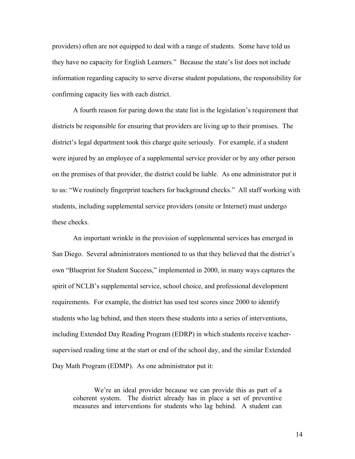providers) often are not equipped to deal with a range of students. Some have told us they have no capacity for English Learners." Because the state's list does not include information regarding capacity to serve diverse student populations, the responsibility for confirming capacity lies with each district.

A fourth reason for paring down the state list is the legislation's requirement that districts be responsible for ensuring that providers are living up to their promises. The district's legal department took this charge quite seriously. For example, if a student were injured by an employee of a supplemental service provider or by any other person on the premises of that provider, the district could be liable. As one administrator put it to us: "We routinely fingerprint teachers for background checks." All staff working with students, including supplemental service providers (onsite or Internet) must undergo these checks.

An important wrinkle in the provision of supplemental services has emerged in San Diego. Several administrators mentioned to us that they believed that the district's own "Blueprint for Student Success," implemented in 2000, in many ways captures the spirit of NCLB's supplemental service, school choice, and professional development requirements. For example, the district has used test scores since 2000 to identify students who lag behind, and then steers these students into a series of interventions, including Extended Day Reading Program (EDRP) in which students receive teachersupervised reading time at the start or end of the school day, and the similar Extended Day Math Program (EDMP). As one administrator put it:

We're an ideal provider because we can provide this as part of a coherent system. The district already has in place a set of preventive measures and interventions for students who lag behind. A student can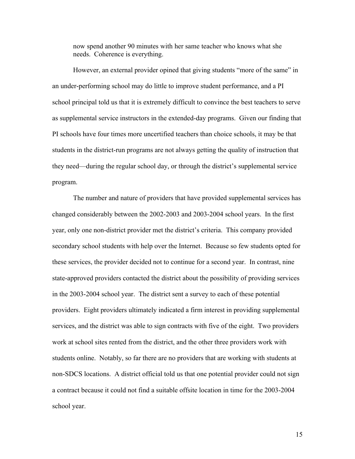now spend another 90 minutes with her same teacher who knows what she needs. Coherence is everything.

However, an external provider opined that giving students "more of the same" in an under-performing school may do little to improve student performance, and a PI school principal told us that it is extremely difficult to convince the best teachers to serve as supplemental service instructors in the extended-day programs. Given our finding that PI schools have four times more uncertified teachers than choice schools, it may be that students in the district-run programs are not always getting the quality of instruction that they need—during the regular school day, or through the district's supplemental service program.

The number and nature of providers that have provided supplemental services has changed considerably between the 2002-2003 and 2003-2004 school years. In the first year, only one non-district provider met the district's criteria. This company provided secondary school students with help over the Internet. Because so few students opted for these services, the provider decided not to continue for a second year. In contrast, nine state-approved providers contacted the district about the possibility of providing services in the 2003-2004 school year. The district sent a survey to each of these potential providers. Eight providers ultimately indicated a firm interest in providing supplemental services, and the district was able to sign contracts with five of the eight. Two providers work at school sites rented from the district, and the other three providers work with students online. Notably, so far there are no providers that are working with students at non-SDCS locations. A district official told us that one potential provider could not sign a contract because it could not find a suitable offsite location in time for the 2003-2004 school year.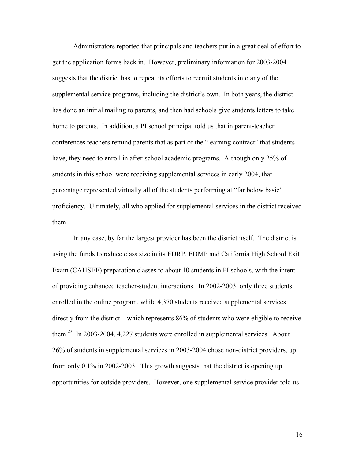Administrators reported that principals and teachers put in a great deal of effort to get the application forms back in. However, preliminary information for 2003-2004 suggests that the district has to repeat its efforts to recruit students into any of the supplemental service programs, including the district's own. In both years, the district has done an initial mailing to parents, and then had schools give students letters to take home to parents. In addition, a PI school principal told us that in parent-teacher conferences teachers remind parents that as part of the "learning contract" that students have, they need to enroll in after-school academic programs. Although only 25% of students in this school were receiving supplemental services in early 2004, that percentage represented virtually all of the students performing at "far below basic" proficiency. Ultimately, all who applied for supplemental services in the district received them.

In any case, by far the largest provider has been the district itself. The district is using the funds to reduce class size in its EDRP, EDMP and California High School Exit Exam (CAHSEE) preparation classes to about 10 students in PI schools, with the intent of providing enhanced teacher-student interactions. In 2002-2003, only three students enrolled in the online program, while 4,370 students received supplemental services directly from the district—which represents 86% of students who were eligible to receive them.<sup>23</sup> In 2003-2004, 4,227 students were enrolled in supplemental services. About 26% of students in supplemental services in 2003-2004 chose non-district providers, up from only 0.1% in 2002-2003. This growth suggests that the district is opening up opportunities for outside providers. However, one supplemental service provider told us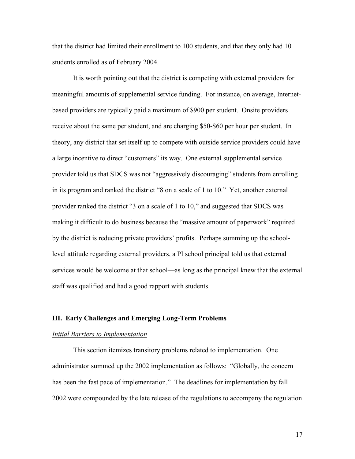that the district had limited their enrollment to 100 students, and that they only had 10 students enrolled as of February 2004.

It is worth pointing out that the district is competing with external providers for meaningful amounts of supplemental service funding. For instance, on average, Internetbased providers are typically paid a maximum of \$900 per student. Onsite providers receive about the same per student, and are charging \$50-\$60 per hour per student. In theory, any district that set itself up to compete with outside service providers could have a large incentive to direct "customers" its way. One external supplemental service provider told us that SDCS was not "aggressively discouraging" students from enrolling in its program and ranked the district "8 on a scale of 1 to 10." Yet, another external provider ranked the district "3 on a scale of 1 to 10," and suggested that SDCS was making it difficult to do business because the "massive amount of paperwork" required by the district is reducing private providers' profits. Perhaps summing up the schoollevel attitude regarding external providers, a PI school principal told us that external services would be welcome at that school—as long as the principal knew that the external staff was qualified and had a good rapport with students.

#### **III. Early Challenges and Emerging Long-Term Problems**

# *Initial Barriers to Implementation*

This section itemizes transitory problems related to implementation. One administrator summed up the 2002 implementation as follows: "Globally, the concern has been the fast pace of implementation." The deadlines for implementation by fall 2002 were compounded by the late release of the regulations to accompany the regulation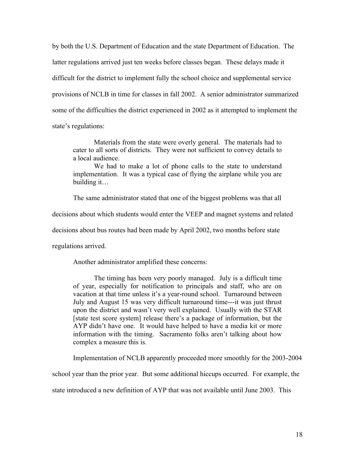by both the U.S. Department of Education and the state Department of Education. The latter regulations arrived just ten weeks before classes began. These delays made it difficult for the district to implement fully the school choice and supplemental service provisions of NCLB in time for classes in fall 2002. A senior administrator summarized some of the difficulties the district experienced in 2002 as it attempted to implement the state's regulations:

Materials from the state were overly general. The materials had to cater to all sorts of districts. They were not sufficient to convey details to a local audience.

We had to make a lot of phone calls to the state to understand implementation. It was a typical case of flying the airplane while you are building it…

The same administrator stated that one of the biggest problems was that all

decisions about which students would enter the VEEP and magnet systems and related

decisions about bus routes had been made by April 2002, two months before state

regulations arrived.

Another administrator amplified these concerns:

The timing has been very poorly managed. July is a difficult time of year, especially for notification to principals and staff, who are on vacation at that time unless it's a year-round school. Turnaround between July and August 15 was very difficult turnaround time---it was just thrust upon the district and wasn't very well explained. Usually with the STAR [state test score system] release there's a package of information, but the AYP didn't have one. It would have helped to have a media kit or more information with the timing. Sacramento folks aren't talking about how complex a measure this is.

Implementation of NCLB apparently proceeded more smoothly for the 2003-2004

school year than the prior year. But some additional hiccups occurred. For example, the

state introduced a new definition of AYP that was not available until June 2003. This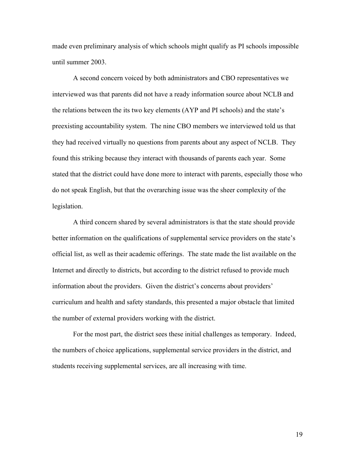made even preliminary analysis of which schools might qualify as PI schools impossible until summer 2003.

A second concern voiced by both administrators and CBO representatives we interviewed was that parents did not have a ready information source about NCLB and the relations between the its two key elements (AYP and PI schools) and the state's preexisting accountability system. The nine CBO members we interviewed told us that they had received virtually no questions from parents about any aspect of NCLB. They found this striking because they interact with thousands of parents each year. Some stated that the district could have done more to interact with parents, especially those who do not speak English, but that the overarching issue was the sheer complexity of the legislation.

A third concern shared by several administrators is that the state should provide better information on the qualifications of supplemental service providers on the state's official list, as well as their academic offerings. The state made the list available on the Internet and directly to districts, but according to the district refused to provide much information about the providers. Given the district's concerns about providers' curriculum and health and safety standards, this presented a major obstacle that limited the number of external providers working with the district.

For the most part, the district sees these initial challenges as temporary. Indeed, the numbers of choice applications, supplemental service providers in the district, and students receiving supplemental services, are all increasing with time.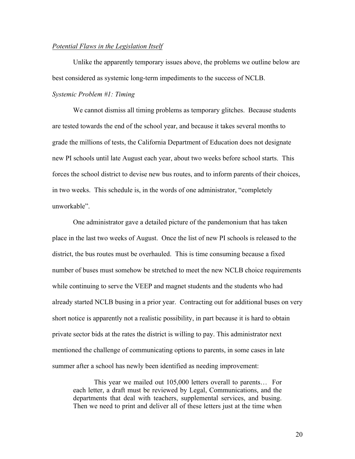#### *Potential Flaws in the Legislation Itself*

Unlike the apparently temporary issues above, the problems we outline below are best considered as systemic long-term impediments to the success of NCLB. *Systemic Problem #1: Timing*

We cannot dismiss all timing problems as temporary glitches. Because students are tested towards the end of the school year, and because it takes several months to grade the millions of tests, the California Department of Education does not designate new PI schools until late August each year, about two weeks before school starts. This forces the school district to devise new bus routes, and to inform parents of their choices, in two weeks. This schedule is, in the words of one administrator, "completely unworkable".

One administrator gave a detailed picture of the pandemonium that has taken place in the last two weeks of August. Once the list of new PI schools is released to the district, the bus routes must be overhauled. This is time consuming because a fixed number of buses must somehow be stretched to meet the new NCLB choice requirements while continuing to serve the VEEP and magnet students and the students who had already started NCLB busing in a prior year. Contracting out for additional buses on very short notice is apparently not a realistic possibility, in part because it is hard to obtain private sector bids at the rates the district is willing to pay. This administrator next mentioned the challenge of communicating options to parents, in some cases in late summer after a school has newly been identified as needing improvement:

This year we mailed out 105,000 letters overall to parents… For each letter, a draft must be reviewed by Legal, Communications, and the departments that deal with teachers, supplemental services, and busing. Then we need to print and deliver all of these letters just at the time when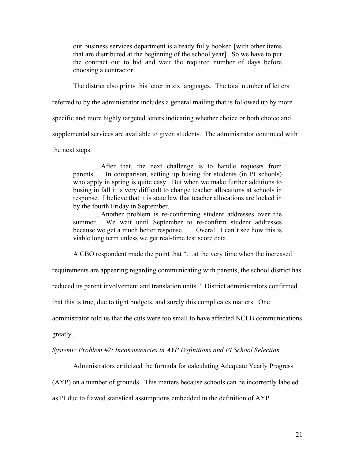our business services department is already fully booked [with other items that are distributed at the beginning of the school year]. So we have to put the contract out to bid and wait the required number of days before choosing a contractor.

The district also prints this letter in six languages. The total number of letters referred to by the administrator includes a general mailing that is followed up by more specific and more highly targeted letters indicating whether choice or both choice and supplemental services are available to given students. The administrator continued with the next steps:

…After that, the next challenge is to handle requests from parents… In comparison, setting up busing for students (in PI schools) who apply in spring is quite easy. But when we make further additions to busing in fall it is very difficult to change teacher allocations at schools in response. I believe that it is state law that teacher allocations are locked in by the fourth Friday in September.

…Another problem is re-confirming student addresses over the summer. We wait until September to re-confirm student addresses because we get a much better response. …Overall, I can't see how this is viable long term unless we get real-time test score data.

A CBO respondent made the point that "…at the very time when the increased requirements are appearing regarding communicating with parents, the school district has reduced its parent involvement and translation units." District administrators confirmed that this is true, due to tight budgets, and surely this complicates matters. One administrator told us that the cuts were too small to have affected NCLB communications greatly.

*Systemic Problem #2: Inconsistencies in AYP Definitions and PI School Selection*

Administrators criticized the formula for calculating Adequate Yearly Progress (AYP) on a number of grounds. This matters because schools can be incorrectly labeled as PI due to flawed statistical assumptions embedded in the definition of AYP.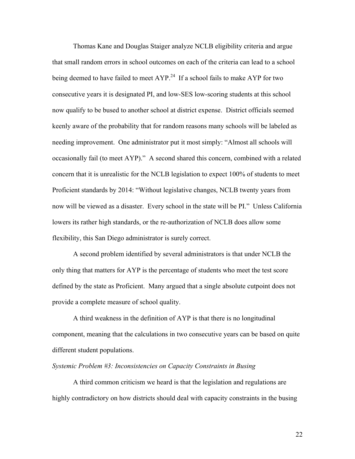Thomas Kane and Douglas Staiger analyze NCLB eligibility criteria and argue that small random errors in school outcomes on each of the criteria can lead to a school being deemed to have failed to meet  $AYP<sup>24</sup>$ . If a school fails to make AYP for two consecutive years it is designated PI, and low-SES low-scoring students at this school now qualify to be bused to another school at district expense. District officials seemed keenly aware of the probability that for random reasons many schools will be labeled as needing improvement. One administrator put it most simply: "Almost all schools will occasionally fail (to meet AYP)." A second shared this concern, combined with a related concern that it is unrealistic for the NCLB legislation to expect 100% of students to meet Proficient standards by 2014: "Without legislative changes, NCLB twenty years from now will be viewed as a disaster. Every school in the state will be PI." Unless California lowers its rather high standards, or the re-authorization of NCLB does allow some flexibility, this San Diego administrator is surely correct.

A second problem identified by several administrators is that under NCLB the only thing that matters for AYP is the percentage of students who meet the test score defined by the state as Proficient. Many argued that a single absolute cutpoint does not provide a complete measure of school quality.

A third weakness in the definition of AYP is that there is no longitudinal component, meaning that the calculations in two consecutive years can be based on quite different student populations.

## *Systemic Problem #3: Inconsistencies on Capacity Constraints in Busing*

A third common criticism we heard is that the legislation and regulations are highly contradictory on how districts should deal with capacity constraints in the busing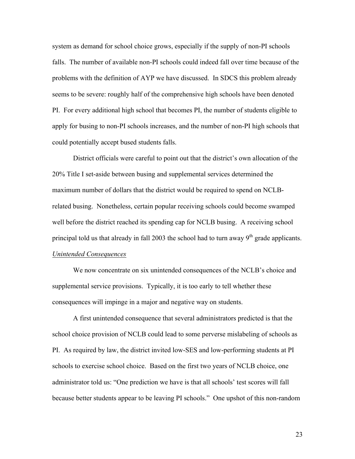system as demand for school choice grows, especially if the supply of non-PI schools falls. The number of available non-PI schools could indeed fall over time because of the problems with the definition of AYP we have discussed. In SDCS this problem already seems to be severe: roughly half of the comprehensive high schools have been denoted PI. For every additional high school that becomes PI, the number of students eligible to apply for busing to non-PI schools increases, and the number of non-PI high schools that could potentially accept bused students falls.

District officials were careful to point out that the district's own allocation of the 20% Title I set-aside between busing and supplemental services determined the maximum number of dollars that the district would be required to spend on NCLBrelated busing. Nonetheless, certain popular receiving schools could become swamped well before the district reached its spending cap for NCLB busing. A receiving school principal told us that already in fall 2003 the school had to turn away  $9<sup>th</sup>$  grade applicants. *Unintended Consequences* 

We now concentrate on six unintended consequences of the NCLB's choice and supplemental service provisions. Typically, it is too early to tell whether these consequences will impinge in a major and negative way on students.

A first unintended consequence that several administrators predicted is that the school choice provision of NCLB could lead to some perverse mislabeling of schools as PI. As required by law, the district invited low-SES and low-performing students at PI schools to exercise school choice. Based on the first two years of NCLB choice, one administrator told us: "One prediction we have is that all schools' test scores will fall because better students appear to be leaving PI schools." One upshot of this non-random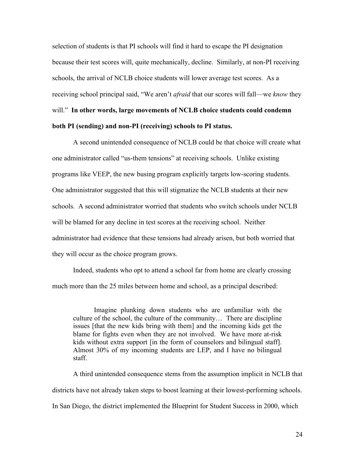selection of students is that PI schools will find it hard to escape the PI designation because their test scores will, quite mechanically, decline. Similarly, at non-PI receiving schools, the arrival of NCLB choice students will lower average test scores. As a receiving school principal said, "We aren't *afraid* that our scores will fall—we *know* they will." **In other words, large movements of NCLB choice students could condemn both PI (sending) and non-PI (receiving) schools to PI status.**

A second unintended consequence of NCLB could be that choice will create what one administrator called "us-them tensions" at receiving schools. Unlike existing programs like VEEP, the new busing program explicitly targets low-scoring students. One administrator suggested that this will stigmatize the NCLB students at their new schools. A second administrator worried that students who switch schools under NCLB will be blamed for any decline in test scores at the receiving school. Neither administrator had evidence that these tensions had already arisen, but both worried that they will occur as the choice program grows.

Indeed, students who opt to attend a school far from home are clearly crossing much more than the 25 miles between home and school, as a principal described:

Imagine plunking down students who are unfamiliar with the culture of the school, the culture of the community… There are discipline issues [that the new kids bring with them] and the incoming kids get the blame for fights even when they are not involved. We have more at-risk kids without extra support [in the form of counselors and bilingual staff]. Almost 30% of my incoming students are LEP, and I have no bilingual staff.

A third unintended consequence stems from the assumption implicit in NCLB that districts have not already taken steps to boost learning at their lowest-performing schools. In San Diego, the district implemented the Blueprint for Student Success in 2000, which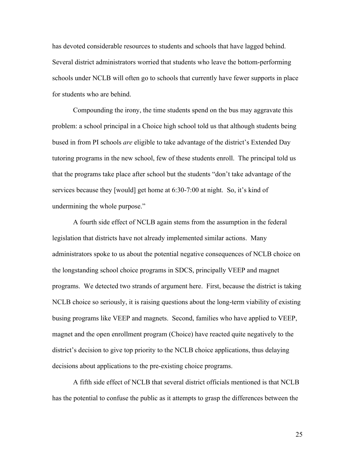has devoted considerable resources to students and schools that have lagged behind. Several district administrators worried that students who leave the bottom-performing schools under NCLB will often go to schools that currently have fewer supports in place for students who are behind.

Compounding the irony, the time students spend on the bus may aggravate this problem: a school principal in a Choice high school told us that although students being bused in from PI schools *are* eligible to take advantage of the district's Extended Day tutoring programs in the new school, few of these students enroll. The principal told us that the programs take place after school but the students "don't take advantage of the services because they [would] get home at 6:30-7:00 at night. So, it's kind of undermining the whole purpose."

A fourth side effect of NCLB again stems from the assumption in the federal legislation that districts have not already implemented similar actions. Many administrators spoke to us about the potential negative consequences of NCLB choice on the longstanding school choice programs in SDCS, principally VEEP and magnet programs. We detected two strands of argument here. First, because the district is taking NCLB choice so seriously, it is raising questions about the long-term viability of existing busing programs like VEEP and magnets. Second, families who have applied to VEEP, magnet and the open enrollment program (Choice) have reacted quite negatively to the district's decision to give top priority to the NCLB choice applications, thus delaying decisions about applications to the pre-existing choice programs.

A fifth side effect of NCLB that several district officials mentioned is that NCLB has the potential to confuse the public as it attempts to grasp the differences between the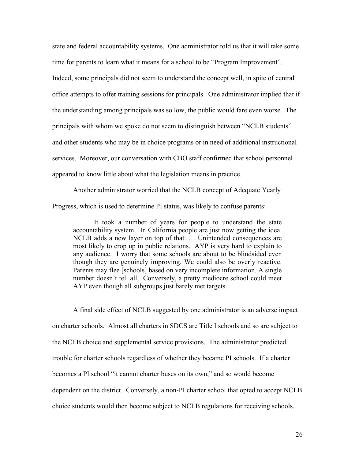state and federal accountability systems. One administrator told us that it will take some time for parents to learn what it means for a school to be "Program Improvement". Indeed, some principals did not seem to understand the concept well, in spite of central office attempts to offer training sessions for principals. One administrator implied that if the understanding among principals was so low, the public would fare even worse. The principals with whom we spoke do not seem to distinguish between "NCLB students" and other students who may be in choice programs or in need of additional instructional services. Moreover, our conversation with CBO staff confirmed that school personnel appeared to know little about what the legislation means in practice.

Another administrator worried that the NCLB concept of Adequate Yearly Progress, which is used to determine PI status, was likely to confuse parents:

It took a number of years for people to understand the state accountability system. In California people are just now getting the idea. NCLB adds a new layer on top of that. … Unintended consequences are most likely to crop up in public relations. AYP is very hard to explain to any audience. I worry that some schools are about to be blindsided even though they are genuinely improving. We could also be overly reactive. Parents may flee [schools] based on very incomplete information. A single number doesn't tell all. Conversely, a pretty mediocre school could meet AYP even though all subgroups just barely met targets.

A final side effect of NCLB suggested by one administrator is an adverse impact on charter schools. Almost all charters in SDCS are Title I schools and so are subject to the NCLB choice and supplemental service provisions. The administrator predicted trouble for charter schools regardless of whether they became PI schools. If a charter becomes a PI school "it cannot charter buses on its own," and so would become dependent on the district. Conversely, a non-PI charter school that opted to accept NCLB choice students would then become subject to NCLB regulations for receiving schools.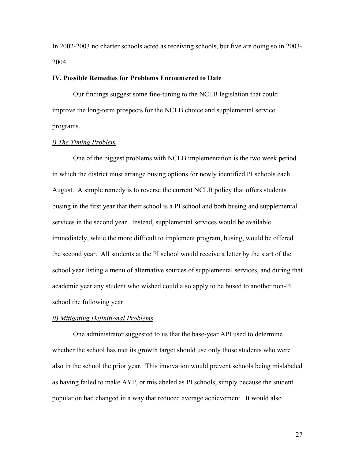In 2002-2003 no charter schools acted as receiving schools, but five are doing so in 2003- 2004.

# **IV. Possible Remedies for Problems Encountered to Date**

Our findings suggest some fine-tuning to the NCLB legislation that could improve the long-term prospects for the NCLB choice and supplemental service programs.

#### *i) The Timing Problem*

One of the biggest problems with NCLB implementation is the two week period in which the district must arrange busing options for newly identified PI schools each August. A simple remedy is to reverse the current NCLB policy that offers students busing in the first year that their school is a PI school and both busing and supplemental services in the second year. Instead, supplemental services would be available immediately, while the more difficult to implement program, busing, would be offered the second year. All students at the PI school would receive a letter by the start of the school year listing a menu of alternative sources of supplemental services, and during that academic year any student who wished could also apply to be bused to another non-PI school the following year.

#### *ii) Mitigating Definitional Problems*

One administrator suggested to us that the base-year API used to determine whether the school has met its growth target should use only those students who were also in the school the prior year. This innovation would prevent schools being mislabeled as having failed to make AYP, or mislabeled as PI schools, simply because the student population had changed in a way that reduced average achievement. It would also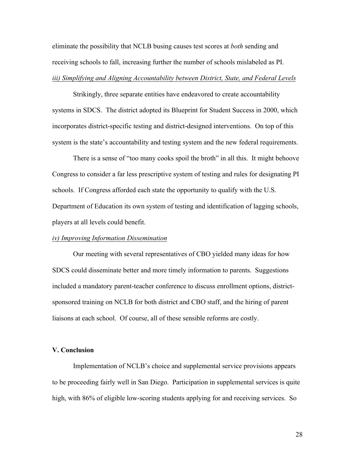eliminate the possibility that NCLB busing causes test scores at *both* sending and receiving schools to fall, increasing further the number of schools mislabeled as PI. *iii) Simplifying and Aligning Accountability between District, State, and Federal Levels*

Strikingly, three separate entities have endeavored to create accountability systems in SDCS. The district adopted its Blueprint for Student Success in 2000, which incorporates district-specific testing and district-designed interventions. On top of this system is the state's accountability and testing system and the new federal requirements.

There is a sense of "too many cooks spoil the broth" in all this. It might behoove Congress to consider a far less prescriptive system of testing and rules for designating PI schools. If Congress afforded each state the opportunity to qualify with the U.S. Department of Education its own system of testing and identification of lagging schools, players at all levels could benefit.

#### *iv) Improving Information Dissemination*

Our meeting with several representatives of CBO yielded many ideas for how SDCS could disseminate better and more timely information to parents. Suggestions included a mandatory parent-teacher conference to discuss enrollment options, districtsponsored training on NCLB for both district and CBO staff, and the hiring of parent liaisons at each school. Of course, all of these sensible reforms are costly.

# **V. Conclusion**

Implementation of NCLB's choice and supplemental service provisions appears to be proceeding fairly well in San Diego. Participation in supplemental services is quite high, with 86% of eligible low-scoring students applying for and receiving services. So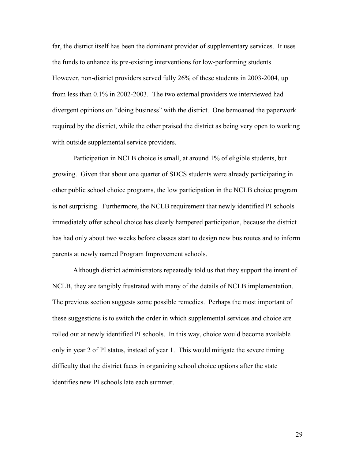far, the district itself has been the dominant provider of supplementary services. It uses the funds to enhance its pre-existing interventions for low-performing students. However, non-district providers served fully 26% of these students in 2003-2004, up from less than 0.1% in 2002-2003. The two external providers we interviewed had divergent opinions on "doing business" with the district. One bemoaned the paperwork required by the district, while the other praised the district as being very open to working with outside supplemental service providers.

Participation in NCLB choice is small, at around 1% of eligible students, but growing. Given that about one quarter of SDCS students were already participating in other public school choice programs, the low participation in the NCLB choice program is not surprising. Furthermore, the NCLB requirement that newly identified PI schools immediately offer school choice has clearly hampered participation, because the district has had only about two weeks before classes start to design new bus routes and to inform parents at newly named Program Improvement schools.

Although district administrators repeatedly told us that they support the intent of NCLB, they are tangibly frustrated with many of the details of NCLB implementation. The previous section suggests some possible remedies. Perhaps the most important of these suggestions is to switch the order in which supplemental services and choice are rolled out at newly identified PI schools. In this way, choice would become available only in year 2 of PI status, instead of year 1. This would mitigate the severe timing difficulty that the district faces in organizing school choice options after the state identifies new PI schools late each summer.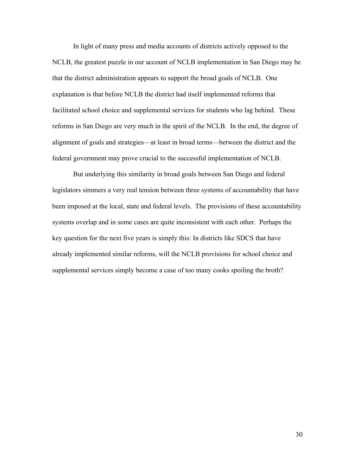In light of many press and media accounts of districts actively opposed to the NCLB, the greatest puzzle in our account of NCLB implementation in San Diego may be that the district administration appears to support the broad goals of NCLB. One explanation is that before NCLB the district had itself implemented reforms that facilitated school choice and supplemental services for students who lag behind. These reforms in San Diego are very much in the spirit of the NCLB. In the end, the degree of alignment of goals and strategies—at least in broad terms—between the district and the federal government may prove crucial to the successful implementation of NCLB.

But underlying this similarity in broad goals between San Diego and federal legislators simmers a very real tension between three systems of accountability that have been imposed at the local, state and federal levels. The provisions of these accountability systems overlap and in some cases are quite inconsistent with each other. Perhaps the key question for the next five years is simply this: In districts like SDCS that have already implemented similar reforms, will the NCLB provisions for school choice and supplemental services simply become a case of too many cooks spoiling the broth?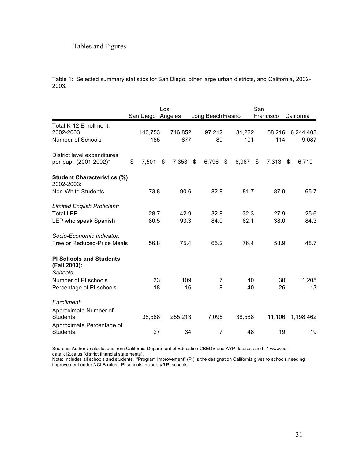# Tables and Figures

Table 1: Selected summary statistics for San Diego, other large urban districts, and California, 2002- 2003.

|                                                                          | San Diego Angeles | Los |                |      | Long Beach Fresno |               | San | Francisco     | California         |
|--------------------------------------------------------------------------|-------------------|-----|----------------|------|-------------------|---------------|-----|---------------|--------------------|
| Total K-12 Enrollment,<br>2002-2003<br><b>Number of Schools</b>          | 140,753<br>185    |     | 746,852<br>677 |      | 97,212<br>89      | 81,222<br>101 |     | 58,216<br>114 | 6,244,403<br>9,087 |
| District level expenditures<br>per-pupil (2001-2002)*                    | \$<br>7,501       | \$  | 7,353          | - \$ | 6,796             | \$<br>6,967   | \$  | $7,313$ \$    | 6,719              |
| <b>Student Characteristics (%)</b><br>2002-2003:                         |                   |     |                |      |                   |               |     |               |                    |
| <b>Non-White Students</b>                                                | 73.8              |     | 90.6           |      | 82.8              | 81.7          |     | 87.9          | 65.7               |
| Limited English Proficient:<br><b>Total LEP</b><br>LEP who speak Spanish | 28.7<br>80.5      |     | 42.9<br>93.3   |      | 32.8<br>84.0      | 32.3<br>62.1  |     | 27.9<br>38.0  | 25.6<br>84.3       |
| Socio-Economic Indicator:<br>Free or Reduced-Price Meals                 | 56.8              |     | 75.4           |      | 65.2              | 76.4          |     | 58.9          | 48.7               |
| <b>PI Schools and Students</b><br>(Fall 2003):<br>Schools:               |                   |     |                |      |                   |               |     |               |                    |
| Number of PI schools<br>Percentage of PI schools                         | 33<br>18          |     | 109<br>16      |      | 7<br>8            | 40<br>40      |     | 30<br>26      | 1,205<br>13        |
| Enrollment:                                                              |                   |     |                |      |                   |               |     |               |                    |
| Approximate Number of<br><b>Students</b>                                 | 38,588            |     | 255,213        |      | 7,095             | 38,588        |     | 11,106        | 1,198,462          |
| Approximate Percentage of<br><b>Students</b>                             | 27                |     | 34             |      | $\overline{7}$    | 48            |     | 19            | 19                 |

Sources: Authors' calculations from California Department of Education CBEDS and AYP datasets and \* www.eddata.k12.ca.us (district financial statements).

Note: Includes all schools and students. "Program Improvement" (PI) is the designation California gives to schools needing improvement under NCLB rules. PI schools include *all* PI schools.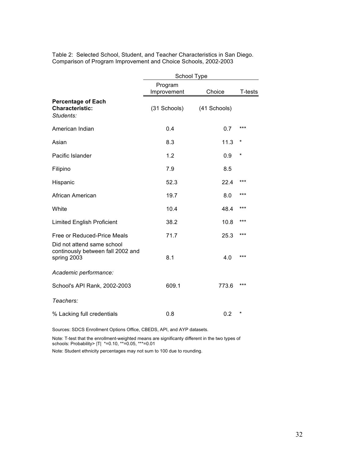|                                                                                | School Type            |              |         |  |  |  |
|--------------------------------------------------------------------------------|------------------------|--------------|---------|--|--|--|
|                                                                                | Program<br>Improvement | Choice       | T-tests |  |  |  |
| <b>Percentage of Each</b><br><b>Characteristic:</b><br>Students:               | (31 Schools)           | (41 Schools) |         |  |  |  |
| American Indian                                                                | 0.4                    | 0.7          | ***     |  |  |  |
| Asian                                                                          | 8.3                    | 11.3         | *       |  |  |  |
| Pacific Islander                                                               | 1.2                    | 0.9          | $\star$ |  |  |  |
| Filipino                                                                       | 7.9                    | 8.5          |         |  |  |  |
| Hispanic                                                                       | 52.3                   | 22.4         | ***     |  |  |  |
| African American                                                               | 19.7                   | 8.0          | ***     |  |  |  |
| White                                                                          | 10.4                   | 48.4         | ***     |  |  |  |
| <b>Limited English Proficient</b>                                              | 38.2                   | 10.8         | ***     |  |  |  |
| Free or Reduced-Price Meals                                                    | 71.7                   | 25.3         | ***     |  |  |  |
| Did not attend same school<br>continously between fall 2002 and<br>spring 2003 | 8.1                    | 4.0          | ***     |  |  |  |
| Academic performance:                                                          |                        |              |         |  |  |  |
| School's API Rank, 2002-2003                                                   | 609.1                  | 773.6        | ***     |  |  |  |
| Teachers:                                                                      |                        |              |         |  |  |  |
| % Lacking full credentials                                                     | 0.8                    | 0.2          | *       |  |  |  |

Table 2: Selected School, Student, and Teacher Characteristics in San Diego. Comparison of Program Improvement and Choice Schools, 2002-2003

Sources: SDCS Enrollment Options Office, CBEDS, API, and AYP datasets.

Note: T-test that the enrollment-weighted means are significanty different in the two types of schools: Probability> |T| \*=0.10, \*\*=0.05, \*\*\*=0.01

Note: Student ethnicity percentages may not sum to 100 due to rounding.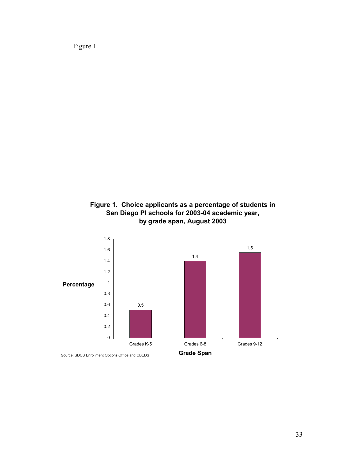Figure 1



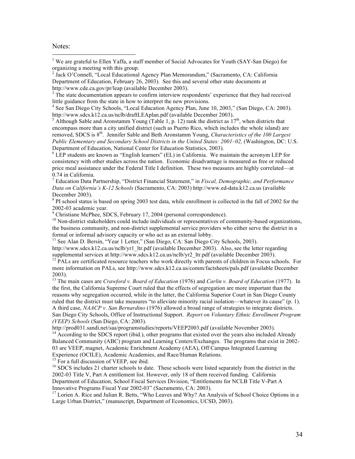#### Notes:

<sup>5</sup> Although Sable and Aronstamm Young (Table 1, p. 12) rank the district as  $17<sup>th</sup>$ , when districts that encompass more than a city unified district (such as Puerto Rico, which includes the whole island) are removed, SDCS is 8th. Jennifer Sable and Beth Aronstamm Young, *Characteristics of the 100 Largest Public Elementary and Secondary School Districts in the United States: 2001–02,* (Washington, DC: U.S. Department of Education, National Center for Education Statistics, 2003).

 $6$  LEP students are known as "English learners" (EL) in California. We maintain the acronym LEP for consistency with other studies across the nation. Economic disadvantage is measured as free or reduced price meal assistance under the Federal Title I definition. These two measures are highly correlated—at 0.74 in California.

<sup>7</sup> Education Data Partnership, "District Financial Statement," in *Fiscal, Demographic, and Performance Data on California's K-12 Schools* (Sacramento, CA: 2003) http://www.ed-data.k12.ca.us (available December 2003).

<sup>8</sup> PI school status is based on spring 2003 test data, while enrollment is collected in the fall of 2002 for the 2002-03 academic year. <sup>9</sup> Christiane McPhee, SDCS, February 17, 2004 (personal correspondence).

<sup>10</sup> Non-district stakeholders could include individuals or representatives of community-based organizations, the business community, and non-district supplemental service providers who either serve the district in a formal or informal advisory capacity or who act as an external lobby.

<sup>11</sup> See Alan D. Bersin, "Year 1 Letter," (San Diego, CA: San Diego City Schools, 2003). http://www.sdcs.k12.ca.us/nclb/yr1\_ltr.pdf (available December 2003). Also, see the letter regarding supplemental services at http://www.sdcs.k12.ca.us/nclb/yr2\_ltr.pdf (available December 2003).

<sup>12</sup> PALs are certificated resource teachers who work directly with parents of children in Focus schools. For more information on PALs, see http://www.sdcs.k12.ca.us/comm/factsheets/pals.pdf (available December 2003).

<sup>13</sup> The main cases are *Crawford v. Board of Education* (1976) and *Carlin v. Board of Education* (1977). In the first, the California Supreme Court ruled that the effects of segregation are more important than the reasons why segregation occurred, while in the latter, the California Superior Court in San Diego County ruled that the district must take measures "to alleviate minority racial isolation—whatever its cause" (p. 1). A third case, *NAACP v. San Bernardino* (1976) allowed a broad range of strategies to integrate districts. San Diego City Schools, Office of Instructional Support. *Report on Voluntary Ethnic Enrollment Program (VEEP) Schools* (San Diego, CA: 2003).

http://prod031.sandi.net/saa/programstudies/reports/VEEP2003.pdf (available November 2003).

<sup>14</sup> According to the SDCS report (ibid.), other programs that existed over the years also included Already Balanced Community (ABC) program and Learning Centers/Exchanges. The programs that exist in 2002- 03 are VEEP, magnet, Academic Enrichment Academy (AEA), Off Campus Integrated Learning Experience (OCILE), Academic Academies, and Race/Human Relations.

<sup>15</sup> For a full discussion of VEEP, see ibid. These schools were listed separately from the district in the  $16$  SDCS includes 21 charter schools to date. These schools were listed separately from the district in the 2002-03 Title V, Part A entitlement list. However, only 18 of them received funding. California Department of Education, School Fiscal Services Division, "Entitlements for NCLB Title V-Part A Innovative Programs Fiscal Year 2002-03" (Sacramento, CA: 2003).<br><sup>17</sup> Lorien A. Rice and Julian R. Betts, "Who Leaves and Why? An Analysis of School Choice Options in a

Large Urban District," (manuscript, Department of Economics, UCSD, 2003).

<sup>&</sup>lt;sup>1</sup> We are grateful to Ellen Yaffa, a staff member of Social Advocates for Youth (SAY-San Diego) for organizing a meeting with this group.

<sup>2</sup> Jack O'Connell, "Local Educational Agency Plan Memorandum," (Sacramento, CA: California Department of Education, February 26, 2003). See this and several other state documents at http://www.cde.ca.gov/pr/leap (available December 2003).

 $3$  The state documentation appears to confirm interview respondents' experience that they had received little guidance from the state in how to interpret the new provisions.

<sup>&</sup>lt;sup>4</sup> See San Diego City Schools, "Local Education Agency Plan, June 10, 2003," (San Diego, CA: 2003). http://www.sdcs.k12.ca.us/nclb/draftLEAplan.pdf (available December 2003).